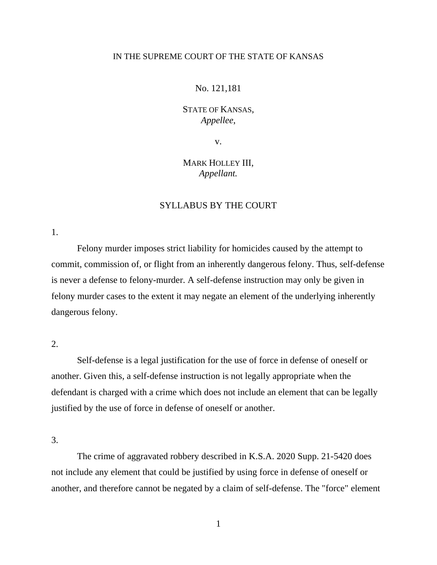### IN THE SUPREME COURT OF THE STATE OF KANSAS

#### No. 121,181

## STATE OF KANSAS, *Appellee*,

v.

# MARK HOLLEY III, *Appellant.*

## SYLLABUS BY THE COURT

1.

Felony murder imposes strict liability for homicides caused by the attempt to commit, commission of, or flight from an inherently dangerous felony. Thus, self-defense is never a defense to felony-murder. A self-defense instruction may only be given in felony murder cases to the extent it may negate an element of the underlying inherently dangerous felony.

2.

Self-defense is a legal justification for the use of force in defense of oneself or another. Given this, a self-defense instruction is not legally appropriate when the defendant is charged with a crime which does not include an element that can be legally justified by the use of force in defense of oneself or another.

3.

The crime of aggravated robbery described in K.S.A. 2020 Supp. 21-5420 does not include any element that could be justified by using force in defense of oneself or another, and therefore cannot be negated by a claim of self-defense. The "force" element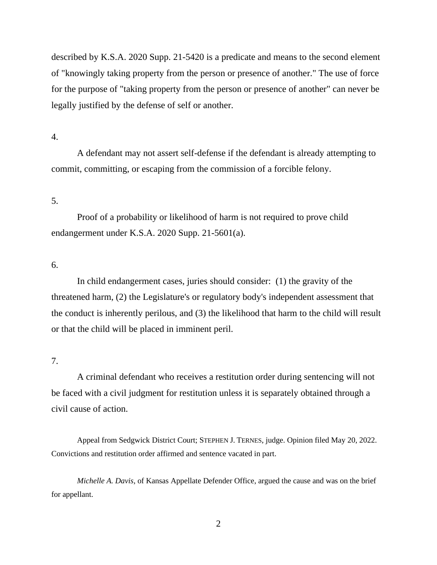described by K.S.A. 2020 Supp. 21-5420 is a predicate and means to the second element of "knowingly taking property from the person or presence of another." The use of force for the purpose of "taking property from the person or presence of another" can never be legally justified by the defense of self or another.

### 4.

A defendant may not assert self-defense if the defendant is already attempting to commit, committing, or escaping from the commission of a forcible felony.

### 5.

Proof of a probability or likelihood of harm is not required to prove child endangerment under K.S.A. 2020 Supp. 21-5601(a).

### 6.

In child endangerment cases, juries should consider: (1) the gravity of the threatened harm, (2) the Legislature's or regulatory body's independent assessment that the conduct is inherently perilous, and (3) the likelihood that harm to the child will result or that the child will be placed in imminent peril.

### 7.

A criminal defendant who receives a restitution order during sentencing will not be faced with a civil judgment for restitution unless it is separately obtained through a civil cause of action.

Appeal from Sedgwick District Court; STEPHEN J. TERNES, judge. Opinion filed May 20, 2022. Convictions and restitution order affirmed and sentence vacated in part.

*Michelle A. Davis*, of Kansas Appellate Defender Office, argued the cause and was on the brief for appellant.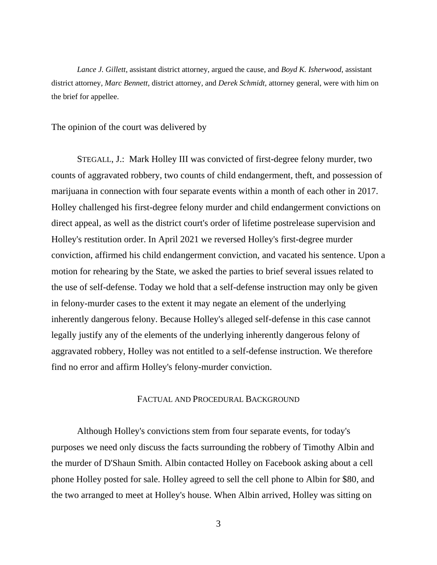*Lance J. Gillett*, assistant district attorney, argued the cause, and *Boyd K. Isherwood*, assistant district attorney, *Marc Bennett,* district attorney, and *Derek Schmidt,* attorney general, were with him on the brief for appellee.

The opinion of the court was delivered by

STEGALL, J.: Mark Holley III was convicted of first-degree felony murder, two counts of aggravated robbery, two counts of child endangerment, theft, and possession of marijuana in connection with four separate events within a month of each other in 2017. Holley challenged his first-degree felony murder and child endangerment convictions on direct appeal, as well as the district court's order of lifetime postrelease supervision and Holley's restitution order. In April 2021 we reversed Holley's first-degree murder conviction, affirmed his child endangerment conviction, and vacated his sentence. Upon a motion for rehearing by the State, we asked the parties to brief several issues related to the use of self-defense. Today we hold that a self-defense instruction may only be given in felony-murder cases to the extent it may negate an element of the underlying inherently dangerous felony. Because Holley's alleged self-defense in this case cannot legally justify any of the elements of the underlying inherently dangerous felony of aggravated robbery, Holley was not entitled to a self-defense instruction. We therefore find no error and affirm Holley's felony-murder conviction.

#### FACTUAL AND PROCEDURAL BACKGROUND

Although Holley's convictions stem from four separate events, for today's purposes we need only discuss the facts surrounding the robbery of Timothy Albin and the murder of D'Shaun Smith. Albin contacted Holley on Facebook asking about a cell phone Holley posted for sale. Holley agreed to sell the cell phone to Albin for \$80, and the two arranged to meet at Holley's house. When Albin arrived, Holley was sitting on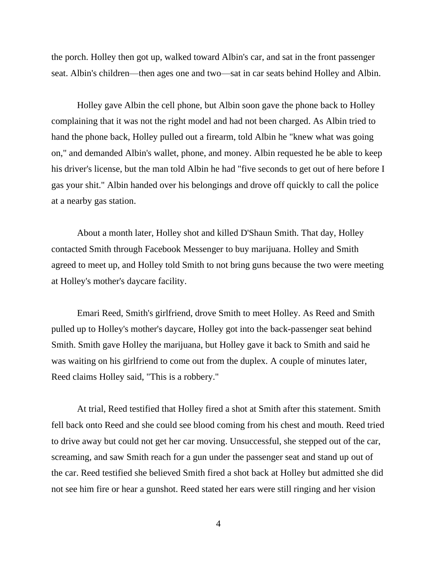the porch. Holley then got up, walked toward Albin's car, and sat in the front passenger seat. Albin's children—then ages one and two—sat in car seats behind Holley and Albin.

Holley gave Albin the cell phone, but Albin soon gave the phone back to Holley complaining that it was not the right model and had not been charged. As Albin tried to hand the phone back, Holley pulled out a firearm, told Albin he "knew what was going on," and demanded Albin's wallet, phone, and money. Albin requested he be able to keep his driver's license, but the man told Albin he had "five seconds to get out of here before I gas your shit." Albin handed over his belongings and drove off quickly to call the police at a nearby gas station.

About a month later, Holley shot and killed D'Shaun Smith. That day, Holley contacted Smith through Facebook Messenger to buy marijuana. Holley and Smith agreed to meet up, and Holley told Smith to not bring guns because the two were meeting at Holley's mother's daycare facility.

Emari Reed, Smith's girlfriend, drove Smith to meet Holley. As Reed and Smith pulled up to Holley's mother's daycare, Holley got into the back-passenger seat behind Smith. Smith gave Holley the marijuana, but Holley gave it back to Smith and said he was waiting on his girlfriend to come out from the duplex. A couple of minutes later, Reed claims Holley said, "This is a robbery."

At trial, Reed testified that Holley fired a shot at Smith after this statement. Smith fell back onto Reed and she could see blood coming from his chest and mouth. Reed tried to drive away but could not get her car moving. Unsuccessful, she stepped out of the car, screaming, and saw Smith reach for a gun under the passenger seat and stand up out of the car. Reed testified she believed Smith fired a shot back at Holley but admitted she did not see him fire or hear a gunshot. Reed stated her ears were still ringing and her vision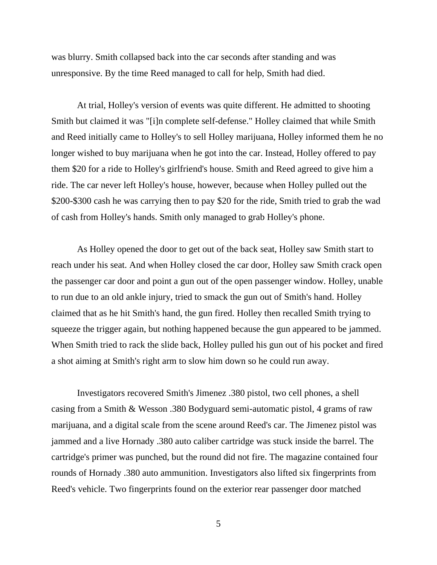was blurry. Smith collapsed back into the car seconds after standing and was unresponsive. By the time Reed managed to call for help, Smith had died.

At trial, Holley's version of events was quite different. He admitted to shooting Smith but claimed it was "[i]n complete self-defense." Holley claimed that while Smith and Reed initially came to Holley's to sell Holley marijuana, Holley informed them he no longer wished to buy marijuana when he got into the car. Instead, Holley offered to pay them \$20 for a ride to Holley's girlfriend's house. Smith and Reed agreed to give him a ride. The car never left Holley's house, however, because when Holley pulled out the \$200-\$300 cash he was carrying then to pay \$20 for the ride, Smith tried to grab the wad of cash from Holley's hands. Smith only managed to grab Holley's phone.

As Holley opened the door to get out of the back seat, Holley saw Smith start to reach under his seat. And when Holley closed the car door, Holley saw Smith crack open the passenger car door and point a gun out of the open passenger window. Holley, unable to run due to an old ankle injury, tried to smack the gun out of Smith's hand. Holley claimed that as he hit Smith's hand, the gun fired. Holley then recalled Smith trying to squeeze the trigger again, but nothing happened because the gun appeared to be jammed. When Smith tried to rack the slide back, Holley pulled his gun out of his pocket and fired a shot aiming at Smith's right arm to slow him down so he could run away.

Investigators recovered Smith's Jimenez .380 pistol, two cell phones, a shell casing from a Smith & Wesson .380 Bodyguard semi-automatic pistol, 4 grams of raw marijuana, and a digital scale from the scene around Reed's car. The Jimenez pistol was jammed and a live Hornady .380 auto caliber cartridge was stuck inside the barrel. The cartridge's primer was punched, but the round did not fire. The magazine contained four rounds of Hornady .380 auto ammunition. Investigators also lifted six fingerprints from Reed's vehicle. Two fingerprints found on the exterior rear passenger door matched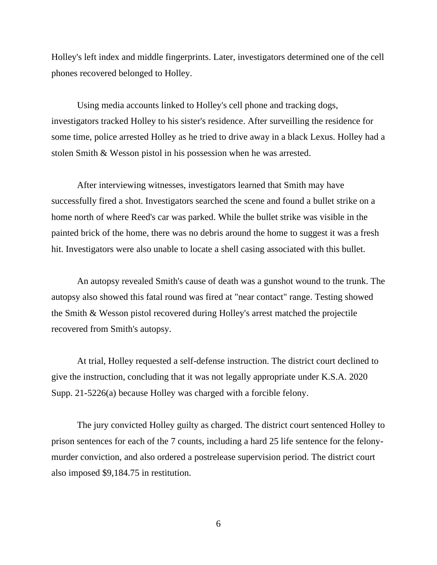Holley's left index and middle fingerprints. Later, investigators determined one of the cell phones recovered belonged to Holley.

Using media accounts linked to Holley's cell phone and tracking dogs, investigators tracked Holley to his sister's residence. After surveilling the residence for some time, police arrested Holley as he tried to drive away in a black Lexus. Holley had a stolen Smith & Wesson pistol in his possession when he was arrested.

After interviewing witnesses, investigators learned that Smith may have successfully fired a shot. Investigators searched the scene and found a bullet strike on a home north of where Reed's car was parked. While the bullet strike was visible in the painted brick of the home, there was no debris around the home to suggest it was a fresh hit. Investigators were also unable to locate a shell casing associated with this bullet.

An autopsy revealed Smith's cause of death was a gunshot wound to the trunk. The autopsy also showed this fatal round was fired at "near contact" range. Testing showed the Smith & Wesson pistol recovered during Holley's arrest matched the projectile recovered from Smith's autopsy.

At trial, Holley requested a self-defense instruction. The district court declined to give the instruction, concluding that it was not legally appropriate under K.S.A. 2020 Supp. 21-5226(a) because Holley was charged with a forcible felony.

The jury convicted Holley guilty as charged. The district court sentenced Holley to prison sentences for each of the 7 counts, including a hard 25 life sentence for the felonymurder conviction, and also ordered a postrelease supervision period. The district court also imposed \$9,184.75 in restitution.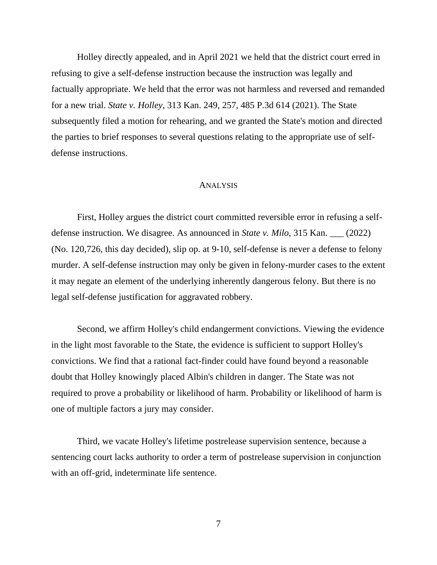Holley directly appealed, and in April 2021 we held that the district court erred in refusing to give a self-defense instruction because the instruction was legally and factually appropriate. We held that the error was not harmless and reversed and remanded for a new trial. *State v. Holley*, 313 Kan. 249, 257, 485 P.3d 614 (2021). The State subsequently filed a motion for rehearing, and we granted the State's motion and directed the parties to brief responses to several questions relating to the appropriate use of selfdefense instructions.

#### ANALYSIS

First, Holley argues the district court committed reversible error in refusing a selfdefense instruction. We disagree. As announced in *State v. Milo*, 315 Kan. \_\_\_ (2022) (No. 120,726, this day decided), slip op. at 9-10, self-defense is never a defense to felony murder. A self-defense instruction may only be given in felony-murder cases to the extent it may negate an element of the underlying inherently dangerous felony. But there is no legal self-defense justification for aggravated robbery.

Second, we affirm Holley's child endangerment convictions. Viewing the evidence in the light most favorable to the State, the evidence is sufficient to support Holley's convictions. We find that a rational fact-finder could have found beyond a reasonable doubt that Holley knowingly placed Albin's children in danger. The State was not required to prove a probability or likelihood of harm. Probability or likelihood of harm is one of multiple factors a jury may consider.

Third, we vacate Holley's lifetime postrelease supervision sentence, because a sentencing court lacks authority to order a term of postrelease supervision in conjunction with an off-grid, indeterminate life sentence.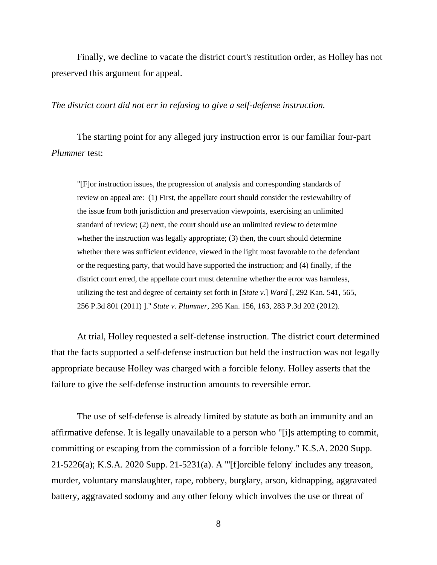Finally, we decline to vacate the district court's restitution order, as Holley has not preserved this argument for appeal.

#### *The district court did not err in refusing to give a self-defense instruction.*

The starting point for any alleged jury instruction error is our familiar four-part *Plummer* test:

"[F]or instruction issues, the progression of analysis and corresponding standards of review on appeal are: (1) First, the appellate court should consider the reviewability of the issue from both jurisdiction and preservation viewpoints, exercising an unlimited standard of review; (2) next, the court should use an unlimited review to determine whether the instruction was legally appropriate; (3) then, the court should determine whether there was sufficient evidence, viewed in the light most favorable to the defendant or the requesting party, that would have supported the instruction; and (4) finally, if the district court erred, the appellate court must determine whether the error was harmless, utilizing the test and degree of certainty set forth in [*State v.*] *Ward* [, 292 Kan. 541, 565, 256 P.3d 801 (2011) ]." *State v. Plummer*, 295 Kan. 156, 163, 283 P.3d 202 (2012).

At trial, Holley requested a self-defense instruction. The district court determined that the facts supported a self-defense instruction but held the instruction was not legally appropriate because Holley was charged with a forcible felony. Holley asserts that the failure to give the self-defense instruction amounts to reversible error.

The use of self-defense is already limited by statute as both an immunity and an affirmative defense. It is legally unavailable to a person who "[i]s attempting to commit, committing or escaping from the commission of a forcible felony." K.S.A. 2020 Supp. 21-5226(a); K.S.A. 2020 Supp. 21-5231(a). A "'[f]orcible felony' includes any treason, murder, voluntary manslaughter, rape, robbery, burglary, arson, kidnapping, aggravated battery, aggravated sodomy and any other felony which involves the use or threat of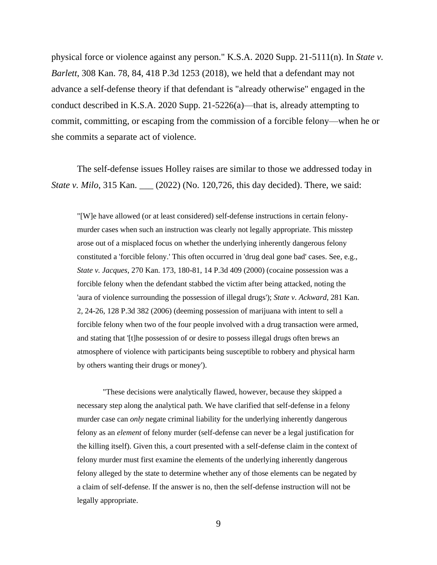physical force or violence against any person." K.S.A. 2020 Supp. 21-5111(n). In *State v. Barlett*, 308 Kan. 78, 84, 418 P.3d 1253 (2018), we held that a defendant may not advance a self-defense theory if that defendant is "already otherwise" engaged in the conduct described in K.S.A. 2020 Supp. 21-5226(a)—that is, already attempting to commit, committing, or escaping from the commission of a forcible felony—when he or she commits a separate act of violence.

The self-defense issues Holley raises are similar to those we addressed today in *State v. Milo*, 315 Kan. \_\_\_ (2022) (No. 120,726, this day decided). There, we said:

"[W]e have allowed (or at least considered) self-defense instructions in certain felonymurder cases when such an instruction was clearly not legally appropriate. This misstep arose out of a misplaced focus on whether the underlying inherently dangerous felony constituted a 'forcible felony.' This often occurred in 'drug deal gone bad' cases. See, e.g., *State v. Jacques*, 270 Kan. 173, 180-81, 14 P.3d 409 (2000) (cocaine possession was a forcible felony when the defendant stabbed the victim after being attacked, noting the 'aura of violence surrounding the possession of illegal drugs'); *State v. Ackward*, 281 Kan. 2, 24-26, 128 P.3d 382 (2006) (deeming possession of marijuana with intent to sell a forcible felony when two of the four people involved with a drug transaction were armed, and stating that '[t]he possession of or desire to possess illegal drugs often brews an atmosphere of violence with participants being susceptible to robbery and physical harm by others wanting their drugs or money').

"These decisions were analytically flawed, however, because they skipped a necessary step along the analytical path. We have clarified that self-defense in a felony murder case can *only* negate criminal liability for the underlying inherently dangerous felony as an *element* of felony murder (self-defense can never be a legal justification for the killing itself). Given this, a court presented with a self-defense claim in the context of felony murder must first examine the elements of the underlying inherently dangerous felony alleged by the state to determine whether any of those elements can be negated by a claim of self-defense. If the answer is no, then the self-defense instruction will not be legally appropriate.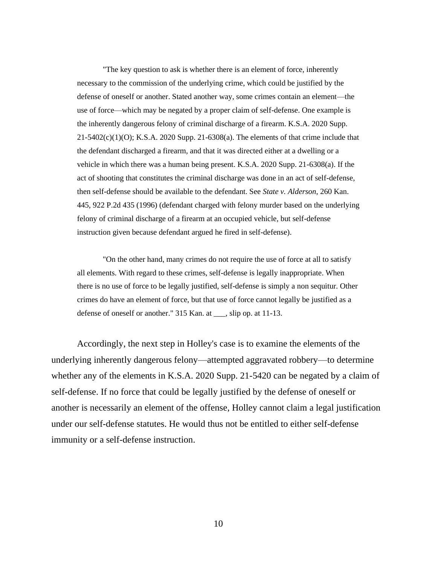"The key question to ask is whether there is an element of force, inherently necessary to the commission of the underlying crime, which could be justified by the defense of oneself or another. Stated another way, some crimes contain an element—the use of force—which may be negated by a proper claim of self-defense. One example is the inherently dangerous felony of criminal discharge of a firearm. K.S.A. 2020 Supp.  $21-5402(c)(1)(O)$ ; K.S.A. 2020 Supp. 21-6308(a). The elements of that crime include that the defendant discharged a firearm, and that it was directed either at a dwelling or a vehicle in which there was a human being present. K.S.A. 2020 Supp. 21-6308(a). If the act of shooting that constitutes the criminal discharge was done in an act of self-defense, then self-defense should be available to the defendant. See *State v. Alderson*, 260 Kan. 445, 922 P.2d 435 (1996) (defendant charged with felony murder based on the underlying felony of criminal discharge of a firearm at an occupied vehicle, but self-defense instruction given because defendant argued he fired in self-defense).

"On the other hand, many crimes do not require the use of force at all to satisfy all elements. With regard to these crimes, self-defense is legally inappropriate. When there is no use of force to be legally justified, self-defense is simply a non sequitur. Other crimes do have an element of force, but that use of force cannot legally be justified as a defense of oneself or another." 315 Kan. at \_\_\_, slip op. at 11-13.

Accordingly, the next step in Holley's case is to examine the elements of the underlying inherently dangerous felony—attempted aggravated robbery—to determine whether any of the elements in K.S.A. 2020 Supp. 21-5420 can be negated by a claim of self-defense. If no force that could be legally justified by the defense of oneself or another is necessarily an element of the offense, Holley cannot claim a legal justification under our self-defense statutes. He would thus not be entitled to either self-defense immunity or a self-defense instruction.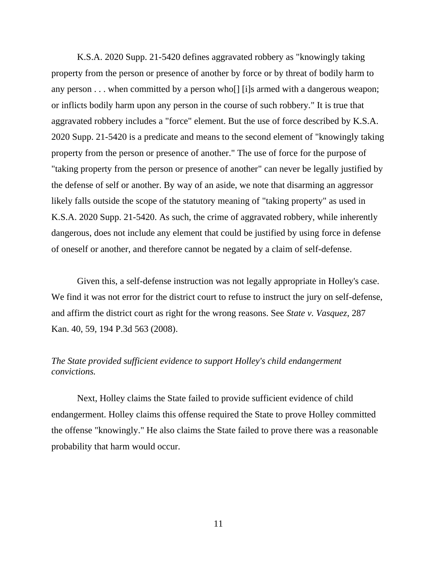K.S.A. 2020 Supp. 21-5420 defines aggravated robbery as "knowingly taking property from the person or presence of another by force or by threat of bodily harm to any person . . . when committed by a person who[] [i]s armed with a dangerous weapon; or inflicts bodily harm upon any person in the course of such robbery." It is true that aggravated robbery includes a "force" element. But the use of force described by K.S.A. 2020 Supp. 21-5420 is a predicate and means to the second element of "knowingly taking property from the person or presence of another." The use of force for the purpose of "taking property from the person or presence of another" can never be legally justified by the defense of self or another. By way of an aside, we note that disarming an aggressor likely falls outside the scope of the statutory meaning of "taking property" as used in K.S.A. 2020 Supp. 21-5420. As such, the crime of aggravated robbery, while inherently dangerous, does not include any element that could be justified by using force in defense of oneself or another, and therefore cannot be negated by a claim of self-defense.

Given this, a self-defense instruction was not legally appropriate in Holley's case. We find it was not error for the district court to refuse to instruct the jury on self-defense, and affirm the district court as right for the wrong reasons. See *State v. Vasquez*, 287 Kan. 40, 59, 194 P.3d 563 (2008).

# *The State provided sufficient evidence to support Holley's child endangerment convictions.*

Next, Holley claims the State failed to provide sufficient evidence of child endangerment. Holley claims this offense required the State to prove Holley committed the offense "knowingly." He also claims the State failed to prove there was a reasonable probability that harm would occur.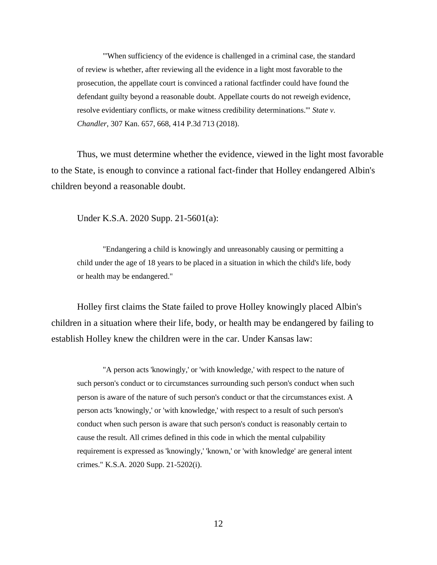"'When sufficiency of the evidence is challenged in a criminal case, the standard of review is whether, after reviewing all the evidence in a light most favorable to the prosecution, the appellate court is convinced a rational factfinder could have found the defendant guilty beyond a reasonable doubt. Appellate courts do not reweigh evidence, resolve evidentiary conflicts, or make witness credibility determinations.'" *State v. Chandler*, 307 Kan. 657, 668, 414 P.3d 713 (2018).

Thus, we must determine whether the evidence, viewed in the light most favorable to the State, is enough to convince a rational fact-finder that Holley endangered Albin's children beyond a reasonable doubt.

Under K.S.A. 2020 Supp. 21-5601(a):

"Endangering a child is knowingly and unreasonably causing or permitting a child under the age of 18 years to be placed in a situation in which the child's life, body or health may be endangered."

Holley first claims the State failed to prove Holley knowingly placed Albin's children in a situation where their life, body, or health may be endangered by failing to establish Holley knew the children were in the car. Under Kansas law:

"A person acts 'knowingly,' or 'with knowledge,' with respect to the nature of such person's conduct or to circumstances surrounding such person's conduct when such person is aware of the nature of such person's conduct or that the circumstances exist. A person acts 'knowingly,' or 'with knowledge,' with respect to a result of such person's conduct when such person is aware that such person's conduct is reasonably certain to cause the result. All crimes defined in this code in which the mental culpability requirement is expressed as 'knowingly,' 'known,' or 'with knowledge' are general intent crimes." K.S.A. 2020 Supp. 21-5202(i).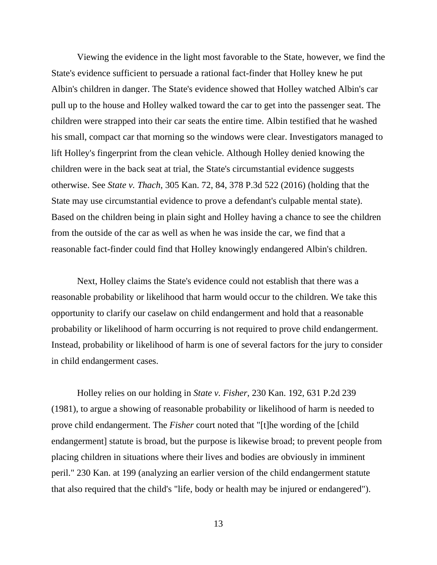Viewing the evidence in the light most favorable to the State, however, we find the State's evidence sufficient to persuade a rational fact-finder that Holley knew he put Albin's children in danger. The State's evidence showed that Holley watched Albin's car pull up to the house and Holley walked toward the car to get into the passenger seat. The children were strapped into their car seats the entire time. Albin testified that he washed his small, compact car that morning so the windows were clear. Investigators managed to lift Holley's fingerprint from the clean vehicle. Although Holley denied knowing the children were in the back seat at trial, the State's circumstantial evidence suggests otherwise. See *State v. Thach*, 305 Kan. 72, 84, 378 P.3d 522 (2016) (holding that the State may use circumstantial evidence to prove a defendant's culpable mental state). Based on the children being in plain sight and Holley having a chance to see the children from the outside of the car as well as when he was inside the car, we find that a reasonable fact-finder could find that Holley knowingly endangered Albin's children.

Next, Holley claims the State's evidence could not establish that there was a reasonable probability or likelihood that harm would occur to the children. We take this opportunity to clarify our caselaw on child endangerment and hold that a reasonable probability or likelihood of harm occurring is not required to prove child endangerment. Instead, probability or likelihood of harm is one of several factors for the jury to consider in child endangerment cases.

Holley relies on our holding in *State v. Fisher*, 230 Kan. 192, 631 P.2d 239 (1981), to argue a showing of reasonable probability or likelihood of harm is needed to prove child endangerment. The *Fisher* court noted that "[t]he wording of the [child endangerment] statute is broad, but the purpose is likewise broad; to prevent people from placing children in situations where their lives and bodies are obviously in imminent peril." 230 Kan. at 199 (analyzing an earlier version of the child endangerment statute that also required that the child's "life, body or health may be injured or endangered").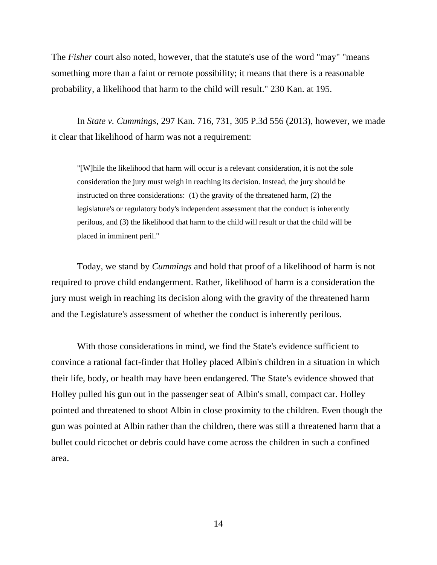The *Fisher* court also noted, however, that the statute's use of the word "may" "means something more than a faint or remote possibility; it means that there is a reasonable probability, a likelihood that harm to the child will result." 230 Kan. at 195.

In *State v. Cummings*, 297 Kan. 716, 731, 305 P.3d 556 (2013), however, we made it clear that likelihood of harm was not a requirement:

"[W]hile the likelihood that harm will occur is a relevant consideration, it is not the sole consideration the jury must weigh in reaching its decision. Instead, the jury should be instructed on three considerations: (1) the gravity of the threatened harm, (2) the legislature's or regulatory body's independent assessment that the conduct is inherently perilous, and (3) the likelihood that harm to the child will result or that the child will be placed in imminent peril."

Today, we stand by *Cummings* and hold that proof of a likelihood of harm is not required to prove child endangerment. Rather, likelihood of harm is a consideration the jury must weigh in reaching its decision along with the gravity of the threatened harm and the Legislature's assessment of whether the conduct is inherently perilous.

With those considerations in mind, we find the State's evidence sufficient to convince a rational fact-finder that Holley placed Albin's children in a situation in which their life, body, or health may have been endangered. The State's evidence showed that Holley pulled his gun out in the passenger seat of Albin's small, compact car. Holley pointed and threatened to shoot Albin in close proximity to the children. Even though the gun was pointed at Albin rather than the children, there was still a threatened harm that a bullet could ricochet or debris could have come across the children in such a confined area.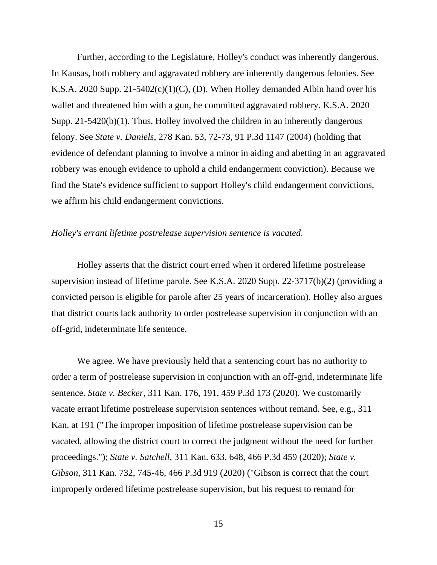Further, according to the Legislature, Holley's conduct was inherently dangerous. In Kansas, both robbery and aggravated robbery are inherently dangerous felonies. See K.S.A. 2020 Supp. 21-5402(c)(1)(C), (D). When Holley demanded Albin hand over his wallet and threatened him with a gun, he committed aggravated robbery. K.S.A. 2020 Supp. 21-5420(b)(1). Thus, Holley involved the children in an inherently dangerous felony. See *State v. Daniels*, 278 Kan. 53, 72-73, 91 P.3d 1147 (2004) (holding that evidence of defendant planning to involve a minor in aiding and abetting in an aggravated robbery was enough evidence to uphold a child endangerment conviction). Because we find the State's evidence sufficient to support Holley's child endangerment convictions, we affirm his child endangerment convictions.

## *Holley's errant lifetime postrelease supervision sentence is vacated.*

Holley asserts that the district court erred when it ordered lifetime postrelease supervision instead of lifetime parole. See K.S.A. 2020 Supp. 22-3717(b)(2) (providing a convicted person is eligible for parole after 25 years of incarceration). Holley also argues that district courts lack authority to order postrelease supervision in conjunction with an off-grid, indeterminate life sentence.

We agree. We have previously held that a sentencing court has no authority to order a term of postrelease supervision in conjunction with an off-grid, indeterminate life sentence. *State v. Becker*, 311 Kan. 176, 191, 459 P.3d 173 (2020). We customarily vacate errant lifetime postrelease supervision sentences without remand. See, e.g., 311 Kan. at 191 ("The improper imposition of lifetime postrelease supervision can be vacated, allowing the district court to correct the judgment without the need for further proceedings."); *State v. Satchell*, 311 Kan. 633, 648, 466 P.3d 459 (2020); *State v. Gibson*, 311 Kan. 732, 745-46, 466 P.3d 919 (2020) ("Gibson is correct that the court improperly ordered lifetime postrelease supervision, but his request to remand for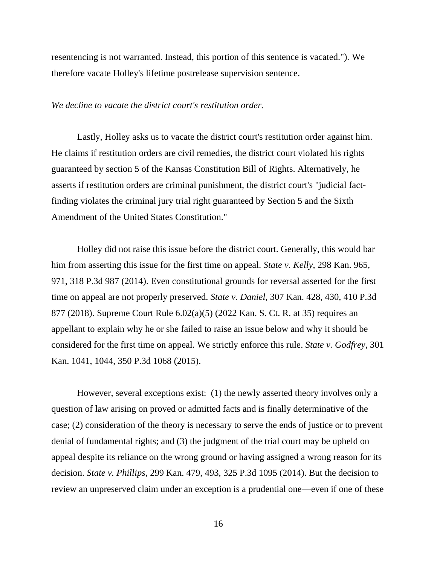resentencing is not warranted. Instead, this portion of this sentence is vacated."). We therefore vacate Holley's lifetime postrelease supervision sentence.

#### *We decline to vacate the district court's restitution order.*

Lastly, Holley asks us to vacate the district court's restitution order against him. He claims if restitution orders are civil remedies, the district court violated his rights guaranteed by section 5 of the Kansas Constitution Bill of Rights. Alternatively, he asserts if restitution orders are criminal punishment, the district court's "judicial factfinding violates the criminal jury trial right guaranteed by Section 5 and the Sixth Amendment of the United States Constitution."

Holley did not raise this issue before the district court. Generally, this would bar him from asserting this issue for the first time on appeal. *State v. Kelly*, 298 Kan. 965, 971, 318 P.3d 987 (2014). Even constitutional grounds for reversal asserted for the first time on appeal are not properly preserved. *State v. Daniel*, 307 Kan. 428, 430, 410 P.3d 877 (2018). Supreme Court Rule 6.02(a)(5) (2022 Kan. S. Ct. R. at 35) requires an appellant to explain why he or she failed to raise an issue below and why it should be considered for the first time on appeal. We strictly enforce this rule. *State v. Godfrey*, 301 Kan. 1041, 1044, 350 P.3d 1068 (2015).

However, several exceptions exist: (1) the newly asserted theory involves only a question of law arising on proved or admitted facts and is finally determinative of the case; (2) consideration of the theory is necessary to serve the ends of justice or to prevent denial of fundamental rights; and (3) the judgment of the trial court may be upheld on appeal despite its reliance on the wrong ground or having assigned a wrong reason for its decision. *State v. Phillips*, 299 Kan. 479, 493, 325 P.3d 1095 (2014). But the decision to review an unpreserved claim under an exception is a prudential one—even if one of these